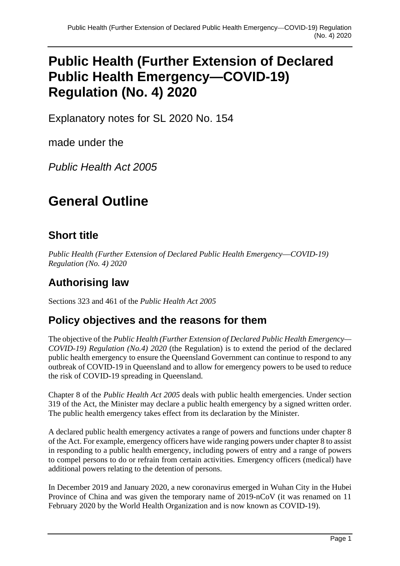## **Public Health (Further Extension of Declared Public Health Emergency—COVID-19) Regulation (No. 4) 2020**

Explanatory notes for SL 2020 No. 154

made under the

*Public Health Act 2005*

## **General Outline**

#### **Short title**

*Public Health (Further Extension of Declared Public Health Emergency—COVID-19) Regulation (No. 4) 2020*

## **Authorising law**

Sections 323 and 461 of the *Public Health Act 2005*

#### **Policy objectives and the reasons for them**

The objective of the *Public Health (Further Extension of Declared Public Health Emergency— COVID-19) Regulation (No.4) 2020* (the Regulation) is to extend the period of the declared public health emergency to ensure the Queensland Government can continue to respond to any outbreak of COVID-19 in Queensland and to allow for emergency powers to be used to reduce the risk of COVID-19 spreading in Queensland.

Chapter 8 of the *Public Health Act 2005* deals with public health emergencies. Under section 319 of the Act, the Minister may declare a public health emergency by a signed written order. The public health emergency takes effect from its declaration by the Minister.

A declared public health emergency activates a range of powers and functions under chapter 8 of the Act. For example, emergency officers have wide ranging powers under chapter 8 to assist in responding to a public health emergency, including powers of entry and a range of powers to compel persons to do or refrain from certain activities. Emergency officers (medical) have additional powers relating to the detention of persons.

In December 2019 and January 2020, a new coronavirus emerged in Wuhan City in the Hubei Province of China and was given the temporary name of 2019-nCoV (it was renamed on 11 February 2020 by the World Health Organization and is now known as COVID-19).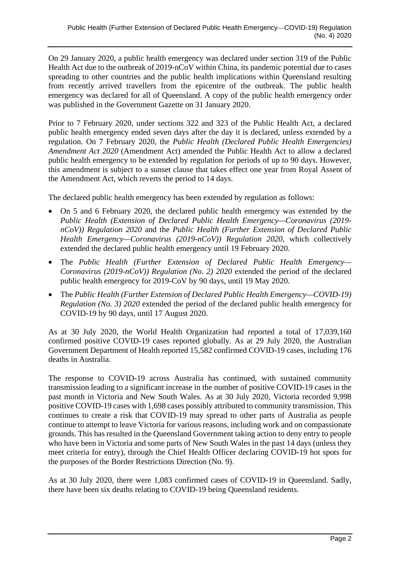On 29 January 2020, a public health emergency was declared under section 319 of the Public Health Act due to the outbreak of 2019-nCoV within China, its pandemic potential due to cases spreading to other countries and the public health implications within Queensland resulting from recently arrived travellers from the epicentre of the outbreak. The public health emergency was declared for all of Queensland. A copy of the public health emergency order was published in the Government Gazette on 31 January 2020.

Prior to 7 February 2020, under sections 322 and 323 of the Public Health Act, a declared public health emergency ended seven days after the day it is declared, unless extended by a regulation. On 7 February 2020, the *Public Health (Declared Public Health Emergencies) Amendment Act 2020* (Amendment Act) amended the Public Health Act to allow a declared public health emergency to be extended by regulation for periods of up to 90 days. However, this amendment is subject to a sunset clause that takes effect one year from Royal Assent of the Amendment Act, which reverts the period to 14 days.

The declared public health emergency has been extended by regulation as follows:

- On 5 and 6 February 2020, the declared public health emergency was extended by the *Public Health (Extension of Declared Public Health Emergency—Coronavirus (2019 nCoV)) Regulation 2020* and the *Public Health (Further Extension of Declared Public Health Emergency—Coronavirus (2019-nCoV)) Regulation 2020*, which collectively extended the declared public health emergency until 19 February 2020.
- The *Public Health (Further Extension of Declared Public Health Emergency— Coronavirus (2019-nCoV)) Regulation (No. 2) 2020* extended the period of the declared public health emergency for 2019-CoV by 90 days, until 19 May 2020.
- The *Public Health (Further Extension of Declared Public Health Emergency—COVID-19) Regulation (No. 3) 2020* extended the period of the declared public health emergency for COVID-19 by 90 days, until 17 August 2020.

As at 30 July 2020, the World Health Organization had reported a total of 17,039,160 confirmed positive COVID-19 cases reported globally. As at 29 July 2020, the Australian Government Department of Health reported 15,582 confirmed COVID-19 cases, including 176 deaths in Australia.

The response to COVID-19 across Australia has continued, with sustained community transmission leading to a significant increase in the number of positive COVID-19 cases in the past month in Victoria and New South Wales. As at 30 July 2020, Victoria recorded 9,998 positive COVID-19 cases with 1,698 cases possibly attributed to community transmission. This continues to create a risk that COVID-19 may spread to other parts of Australia as people continue to attempt to leave Victoria for various reasons, including work and on compassionate grounds. This has resulted in the Queensland Government taking action to deny entry to people who have been in Victoria and some parts of New South Wales in the past 14 days (unless they meet criteria for entry), through the Chief Health Officer declaring COVID-19 hot spots for the purposes of the Border Restrictions Direction (No. 9).

As at 30 July 2020, there were 1,083 confirmed cases of COVID-19 in Queensland. Sadly, there have been six deaths relating to COVID-19 being Queensland residents.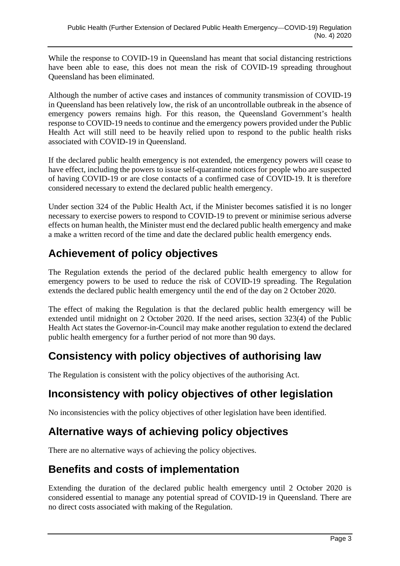While the response to COVID-19 in Queensland has meant that social distancing restrictions have been able to ease, this does not mean the risk of COVID-19 spreading throughout Queensland has been eliminated.

Although the number of active cases and instances of community transmission of COVID-19 in Queensland has been relatively low, the risk of an uncontrollable outbreak in the absence of emergency powers remains high. For this reason, the Queensland Government's health response to COVID-19 needs to continue and the emergency powers provided under the Public Health Act will still need to be heavily relied upon to respond to the public health risks associated with COVID-19 in Queensland.

If the declared public health emergency is not extended, the emergency powers will cease to have effect, including the powers to issue self-quarantine notices for people who are suspected of having COVID-19 or are close contacts of a confirmed case of COVID-19. It is therefore considered necessary to extend the declared public health emergency.

Under section 324 of the Public Health Act, if the Minister becomes satisfied it is no longer necessary to exercise powers to respond to COVID-19 to prevent or minimise serious adverse effects on human health, the Minister must end the declared public health emergency and make a make a written record of the time and date the declared public health emergency ends.

## **Achievement of policy objectives**

The Regulation extends the period of the declared public health emergency to allow for emergency powers to be used to reduce the risk of COVID-19 spreading. The Regulation extends the declared public health emergency until the end of the day on 2 October 2020.

The effect of making the Regulation is that the declared public health emergency will be extended until midnight on 2 October 2020. If the need arises, section 323(4) of the Public Health Act states the Governor-in-Council may make another regulation to extend the declared public health emergency for a further period of not more than 90 days.

#### **Consistency with policy objectives of authorising law**

The Regulation is consistent with the policy objectives of the authorising Act.

### **Inconsistency with policy objectives of other legislation**

No inconsistencies with the policy objectives of other legislation have been identified.

### **Alternative ways of achieving policy objectives**

There are no alternative ways of achieving the policy objectives.

#### **Benefits and costs of implementation**

Extending the duration of the declared public health emergency until 2 October 2020 is considered essential to manage any potential spread of COVID-19 in Queensland. There are no direct costs associated with making of the Regulation.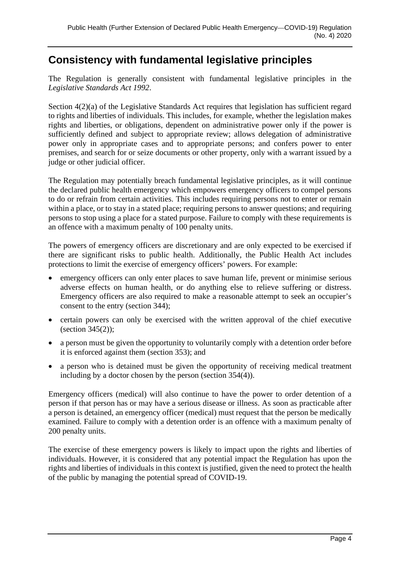#### **Consistency with fundamental legislative principles**

The Regulation is generally consistent with fundamental legislative principles in the *Legislative Standards Act 1992*.

Section  $4(2)(a)$  of the Legislative Standards Act requires that legislation has sufficient regard to rights and liberties of individuals. This includes, for example, whether the legislation makes rights and liberties, or obligations, dependent on administrative power only if the power is sufficiently defined and subject to appropriate review; allows delegation of administrative power only in appropriate cases and to appropriate persons; and confers power to enter premises, and search for or seize documents or other property, only with a warrant issued by a judge or other judicial officer.

The Regulation may potentially breach fundamental legislative principles, as it will continue the declared public health emergency which empowers emergency officers to compel persons to do or refrain from certain activities. This includes requiring persons not to enter or remain within a place, or to stay in a stated place; requiring persons to answer questions; and requiring persons to stop using a place for a stated purpose. Failure to comply with these requirements is an offence with a maximum penalty of 100 penalty units.

The powers of emergency officers are discretionary and are only expected to be exercised if there are significant risks to public health. Additionally, the Public Health Act includes protections to limit the exercise of emergency officers' powers. For example:

- emergency officers can only enter places to save human life, prevent or minimise serious adverse effects on human health, or do anything else to relieve suffering or distress. Emergency officers are also required to make a reasonable attempt to seek an occupier's consent to the entry (section 344);
- certain powers can only be exercised with the written approval of the chief executive (section  $345(2)$ );
- a person must be given the opportunity to voluntarily comply with a detention order before it is enforced against them (section 353); and
- a person who is detained must be given the opportunity of receiving medical treatment including by a doctor chosen by the person (section 354(4)).

Emergency officers (medical) will also continue to have the power to order detention of a person if that person has or may have a serious disease or illness. As soon as practicable after a person is detained, an emergency officer (medical) must request that the person be medically examined. Failure to comply with a detention order is an offence with a maximum penalty of 200 penalty units.

The exercise of these emergency powers is likely to impact upon the rights and liberties of individuals. However, it is considered that any potential impact the Regulation has upon the rights and liberties of individuals in this context is justified, given the need to protect the health of the public by managing the potential spread of COVID-19.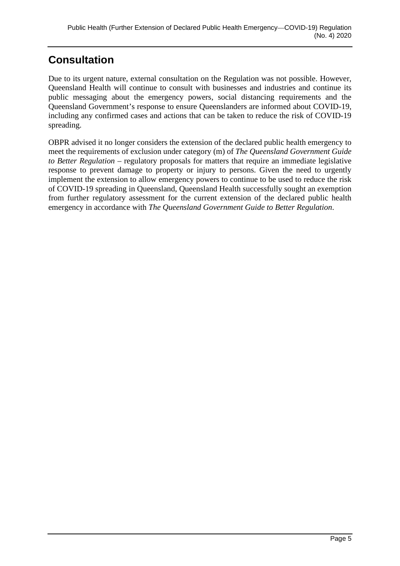## **Consultation**

Due to its urgent nature, external consultation on the Regulation was not possible. However, Queensland Health will continue to consult with businesses and industries and continue its public messaging about the emergency powers, social distancing requirements and the Queensland Government's response to ensure Queenslanders are informed about COVID-19, including any confirmed cases and actions that can be taken to reduce the risk of COVID-19 spreading.

OBPR advised it no longer considers the extension of the declared public health emergency to meet the requirements of exclusion under category (m) of *The Queensland Government Guide to Better Regulation* – regulatory proposals for matters that require an immediate legislative response to prevent damage to property or injury to persons. Given the need to urgently implement the extension to allow emergency powers to continue to be used to reduce the risk of COVID-19 spreading in Queensland, Queensland Health successfully sought an exemption from further regulatory assessment for the current extension of the declared public health emergency in accordance with *The Queensland Government Guide to Better Regulation*.